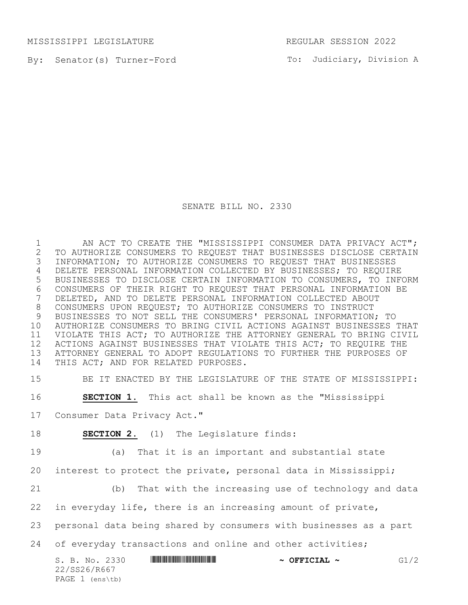MISSISSIPPI LEGISLATURE REGULAR SESSION 2022

By: Senator(s) Turner-Ford

To: Judiciary, Division A

## SENATE BILL NO. 2330

1 AN ACT TO CREATE THE "MISSISSIPPI CONSUMER DATA PRIVACY ACT";<br>2 TO AUTHORIZE CONSUMERS TO REQUEST THAT BUSINESSES DISCLOSE CERTAIN 2 TO AUTHORIZE CONSUMERS TO REQUEST THAT BUSINESSES DISCLOSE CERTAIN<br>3 INFORMATION; TO AUTHORIZE CONSUMERS TO REQUEST THAT BUSINESSES INFORMATION; TO AUTHORIZE CONSUMERS TO REQUEST THAT BUSINESSES DELETE PERSONAL INFORMATION COLLECTED BY BUSINESSES; TO REQUIRE BUSINESSES TO DISCLOSE CERTAIN INFORMATION TO CONSUMERS, TO INFORM 6 CONSUMERS OF THEIR RIGHT TO REQUEST THAT PERSONAL INFORMATION BE<br>7 DELETED, AND TO DELETE PERSONAL INFORMATION COLLECTED ABOUT DELETED, AND TO DELETE PERSONAL INFORMATION COLLECTED ABOUT CONSUMERS UPON REQUEST; TO AUTHORIZE CONSUMERS TO INSTRUCT BUSINESSES TO NOT SELL THE CONSUMERS' PERSONAL INFORMATION; TO AUTHORIZE CONSUMERS TO BRING CIVIL ACTIONS AGAINST BUSINESSES THAT VIOLATE THIS ACT; TO AUTHORIZE THE ATTORNEY GENERAL TO BRING CIVIL 12 ACTIONS AGAINST BUSINESSES THAT VIOLATE THIS ACT; TO REQUIRE THE ATTORNEY GENERAL TO ADOPT REGULATIONS TO FURTHER THE PURPOSES OF THIS ACT; AND FOR RELATED PURPOSES.

BE IT ENACTED BY THE LEGISLATURE OF THE STATE OF MISSISSIPPI:

**SECTION 1.** This act shall be known as the "Mississippi

Consumer Data Privacy Act."

**SECTION 2.** (1) The Legislature finds:

(a) That it is an important and substantial state

interest to protect the private, personal data in Mississippi;

(b) That with the increasing use of technology and data

in everyday life, there is an increasing amount of private,

personal data being shared by consumers with businesses as a part

24 of everyday transactions and online and other activities;

|  |              | S. B. No. 2330    |  | $\sim$ OFFICIAL $\sim$ | G1/2 |
|--|--------------|-------------------|--|------------------------|------|
|  | 22/SS26/R667 |                   |  |                        |      |
|  |              | PAGE $1$ (ens\tb) |  |                        |      |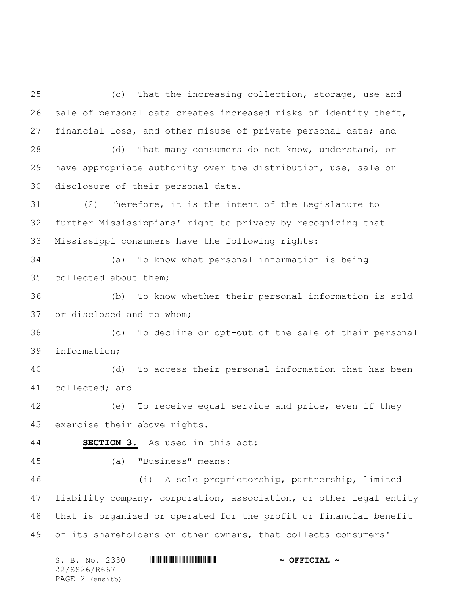S. B. No. 2330 \*SS26/R667\* **~ OFFICIAL ~** (c) That the increasing collection, storage, use and sale of personal data creates increased risks of identity theft, financial loss, and other misuse of private personal data; and (d) That many consumers do not know, understand, or have appropriate authority over the distribution, use, sale or disclosure of their personal data. (2) Therefore, it is the intent of the Legislature to further Mississippians' right to privacy by recognizing that Mississippi consumers have the following rights: (a) To know what personal information is being collected about them; (b) To know whether their personal information is sold or disclosed and to whom; (c) To decline or opt-out of the sale of their personal information; (d) To access their personal information that has been collected; and (e) To receive equal service and price, even if they exercise their above rights. **SECTION 3.** As used in this act: (a) "Business" means: (i) A sole proprietorship, partnership, limited liability company, corporation, association, or other legal entity that is organized or operated for the profit or financial benefit of its shareholders or other owners, that collects consumers'

22/SS26/R667 PAGE 2 (ens\tb)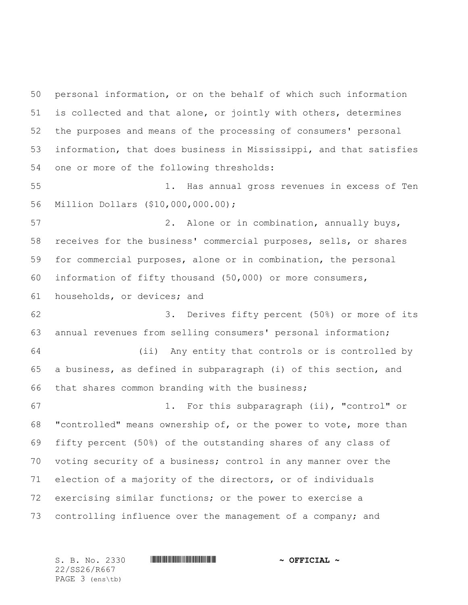personal information, or on the behalf of which such information is collected and that alone, or jointly with others, determines the purposes and means of the processing of consumers' personal information, that does business in Mississippi, and that satisfies one or more of the following thresholds:

 1. Has annual gross revenues in excess of Ten Million Dollars (\$10,000,000.00);

 2. Alone or in combination, annually buys, receives for the business' commercial purposes, sells, or shares for commercial purposes, alone or in combination, the personal information of fifty thousand (50,000) or more consumers, households, or devices; and

 3. Derives fifty percent (50%) or more of its annual revenues from selling consumers' personal information;

 (ii) Any entity that controls or is controlled by a business, as defined in subparagraph (i) of this section, and that shares common branding with the business;

 1. For this subparagraph (ii), "control" or "controlled" means ownership of, or the power to vote, more than fifty percent (50%) of the outstanding shares of any class of voting security of a business; control in any manner over the election of a majority of the directors, or of individuals exercising similar functions; or the power to exercise a 73 controlling influence over the management of a company; and

22/SS26/R667 PAGE 3 (ens\tb)

S. B. No. 2330 \*SS26/R667\* **~ OFFICIAL ~**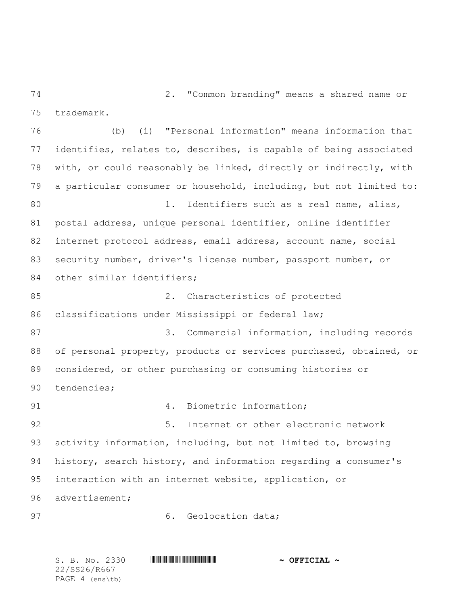2. "Common branding" means a shared name or trademark.

 (b) (i) "Personal information" means information that identifies, relates to, describes, is capable of being associated with, or could reasonably be linked, directly or indirectly, with a particular consumer or household, including, but not limited to: 1. Identifiers such as a real name, alias, postal address, unique personal identifier, online identifier internet protocol address, email address, account name, social security number, driver's license number, passport number, or 84 other similar identifiers; 2. Characteristics of protected classifications under Mississippi or federal law; 3. Commercial information, including records of personal property, products or services purchased, obtained, or considered, or other purchasing or consuming histories or tendencies; 91 4. Biometric information; 92 5. Internet or other electronic network activity information, including, but not limited to, browsing history, search history, and information regarding a consumer's interaction with an internet website, application, or advertisement; 97 6. Geolocation data;

S. B. No. 2330 \*SS26/R667\* **~ OFFICIAL ~** 22/SS26/R667 PAGE 4 (ens\tb)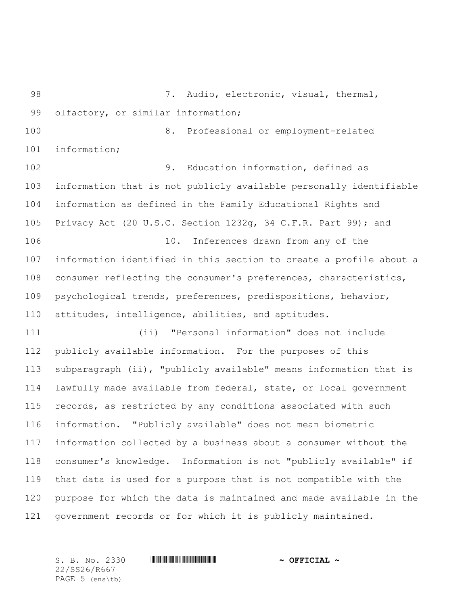7. Audio, electronic, visual, thermal, 99 olfactory, or similar information; 8. Professional or employment-related information; 9. Education information, defined as information that is not publicly available personally identifiable information as defined in the Family Educational Rights and Privacy Act (20 U.S.C. Section 1232g, 34 C.F.R. Part 99); and 10. Inferences drawn from any of the information identified in this section to create a profile about a 108 consumer reflecting the consumer's preferences, characteristics, psychological trends, preferences, predispositions, behavior, attitudes, intelligence, abilities, and aptitudes. (ii) "Personal information" does not include publicly available information. For the purposes of this subparagraph (ii), "publicly available" means information that is lawfully made available from federal, state, or local government records, as restricted by any conditions associated with such information. "Publicly available" does not mean biometric information collected by a business about a consumer without the consumer's knowledge. Information is not "publicly available" if that data is used for a purpose that is not compatible with the purpose for which the data is maintained and made available in the government records or for which it is publicly maintained.

22/SS26/R667 PAGE 5 (ens\tb)

S. B. No. 2330 **\*\*\* A SECOVER A POST AND A OFFICIAL ~**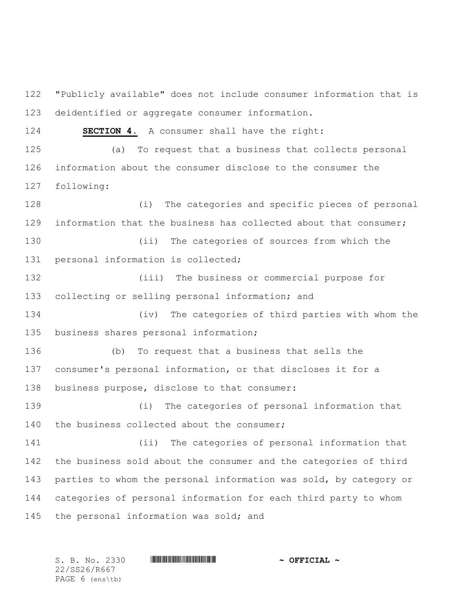"Publicly available" does not include consumer information that is deidentified or aggregate consumer information. **SECTION 4.** A consumer shall have the right: (a) To request that a business that collects personal

 information about the consumer disclose to the consumer the following:

 (i) The categories and specific pieces of personal information that the business has collected about that consumer;

 (ii) The categories of sources from which the personal information is collected;

 (iii) The business or commercial purpose for collecting or selling personal information; and

 (iv) The categories of third parties with whom the business shares personal information;

 (b) To request that a business that sells the consumer's personal information, or that discloses it for a business purpose, disclose to that consumer:

 (i) The categories of personal information that 140 the business collected about the consumer;

 (ii) The categories of personal information that the business sold about the consumer and the categories of third 143 parties to whom the personal information was sold, by category or categories of personal information for each third party to whom 145 the personal information was sold; and

22/SS26/R667 PAGE 6 (ens\tb)

S. B. No. 2330 **\*\*\* A SECOVER A POST AND A OFFICIAL ~**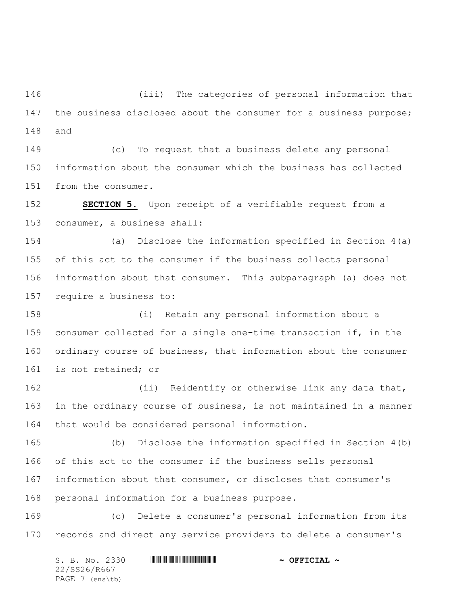(iii) The categories of personal information that 147 the business disclosed about the consumer for a business purpose; and

 (c) To request that a business delete any personal information about the consumer which the business has collected from the consumer.

 **SECTION 5.** Upon receipt of a verifiable request from a consumer, a business shall:

 (a) Disclose the information specified in Section 4(a) of this act to the consumer if the business collects personal information about that consumer. This subparagraph (a) does not require a business to:

 (i) Retain any personal information about a consumer collected for a single one-time transaction if, in the ordinary course of business, that information about the consumer is not retained; or

162 (ii) Reidentify or otherwise link any data that, in the ordinary course of business, is not maintained in a manner that would be considered personal information.

 (b) Disclose the information specified in Section 4(b) of this act to the consumer if the business sells personal information about that consumer, or discloses that consumer's personal information for a business purpose.

 (c) Delete a consumer's personal information from its records and direct any service providers to delete a consumer's

S. B. No. 2330 \*SS26/R667\* **~ OFFICIAL ~** 22/SS26/R667 PAGE 7 (ens\tb)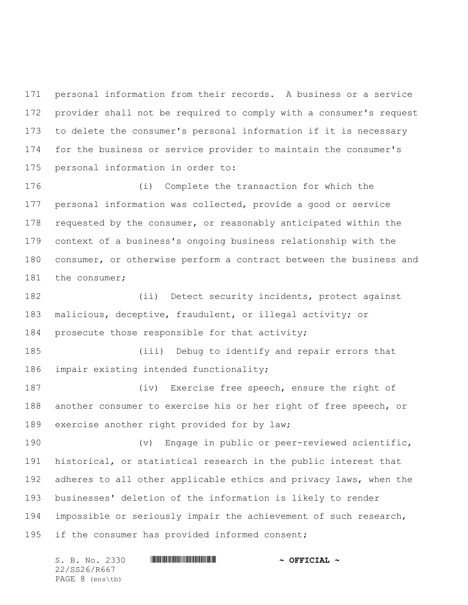personal information from their records. A business or a service provider shall not be required to comply with a consumer's request to delete the consumer's personal information if it is necessary for the business or service provider to maintain the consumer's personal information in order to:

 (i) Complete the transaction for which the personal information was collected, provide a good or service requested by the consumer, or reasonably anticipated within the context of a business's ongoing business relationship with the consumer, or otherwise perform a contract between the business and 181 the consumer;

 (ii) Detect security incidents, protect against malicious, deceptive, fraudulent, or illegal activity; or prosecute those responsible for that activity;

 (iii) Debug to identify and repair errors that impair existing intended functionality;

 (iv) Exercise free speech, ensure the right of another consumer to exercise his or her right of free speech, or exercise another right provided for by law;

 (v) Engage in public or peer-reviewed scientific, historical, or statistical research in the public interest that 192 adheres to all other applicable ethics and privacy laws, when the businesses' deletion of the information is likely to render impossible or seriously impair the achievement of such research, 195 if the consumer has provided informed consent;

S. B. No. 2330 **\*\*\* AND \*\*\* THE \*\*\* THE \*\*\* ASSECTAL ~\*\*** 22/SS26/R667 PAGE 8 (ens\tb)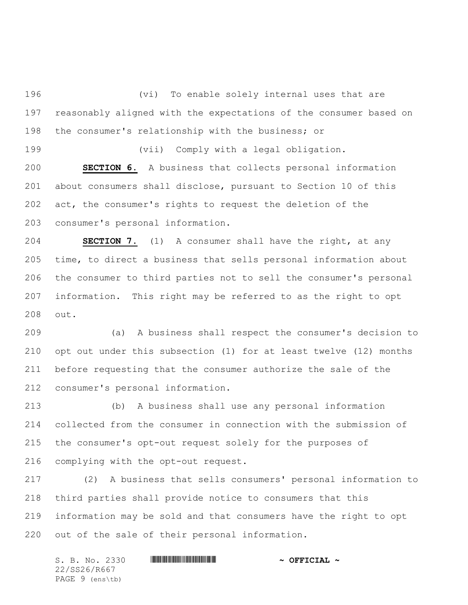(vi) To enable solely internal uses that are reasonably aligned with the expectations of the consumer based on the consumer's relationship with the business; or

 (vii) Comply with a legal obligation. **SECTION 6.** A business that collects personal information about consumers shall disclose, pursuant to Section 10 of this act, the consumer's rights to request the deletion of the consumer's personal information.

 **SECTION 7.** (1) A consumer shall have the right, at any time, to direct a business that sells personal information about the consumer to third parties not to sell the consumer's personal information. This right may be referred to as the right to opt out.

 (a) A business shall respect the consumer's decision to opt out under this subsection (1) for at least twelve (12) months before requesting that the consumer authorize the sale of the consumer's personal information.

 (b) A business shall use any personal information collected from the consumer in connection with the submission of the consumer's opt-out request solely for the purposes of complying with the opt-out request.

 (2) A business that sells consumers' personal information to third parties shall provide notice to consumers that this information may be sold and that consumers have the right to opt out of the sale of their personal information.

S. B. No. 2330 \*SS26/R667\* **~ OFFICIAL ~** 22/SS26/R667 PAGE 9 (ens\tb)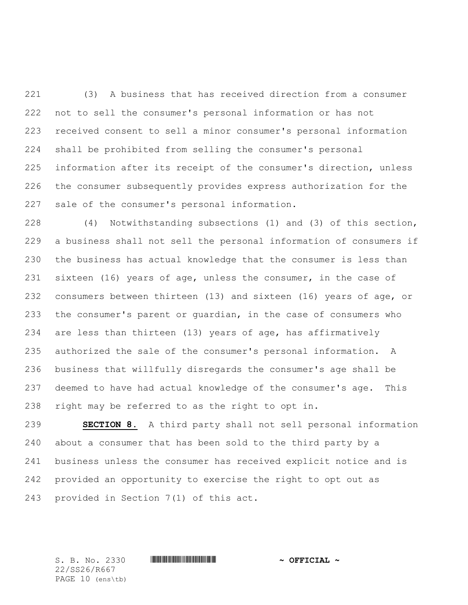(3) A business that has received direction from a consumer not to sell the consumer's personal information or has not received consent to sell a minor consumer's personal information shall be prohibited from selling the consumer's personal information after its receipt of the consumer's direction, unless the consumer subsequently provides express authorization for the sale of the consumer's personal information.

 (4) Notwithstanding subsections (1) and (3) of this section, a business shall not sell the personal information of consumers if the business has actual knowledge that the consumer is less than sixteen (16) years of age, unless the consumer, in the case of consumers between thirteen (13) and sixteen (16) years of age, or the consumer's parent or guardian, in the case of consumers who are less than thirteen (13) years of age, has affirmatively authorized the sale of the consumer's personal information. A business that willfully disregards the consumer's age shall be deemed to have had actual knowledge of the consumer's age. This right may be referred to as the right to opt in.

 **SECTION 8.** A third party shall not sell personal information about a consumer that has been sold to the third party by a business unless the consumer has received explicit notice and is provided an opportunity to exercise the right to opt out as provided in Section 7(1) of this act.

22/SS26/R667 PAGE 10 (ens\tb)

S. B. No. 2330 **\*\*\* A SECOVER A POST AND A OFFICIAL ~**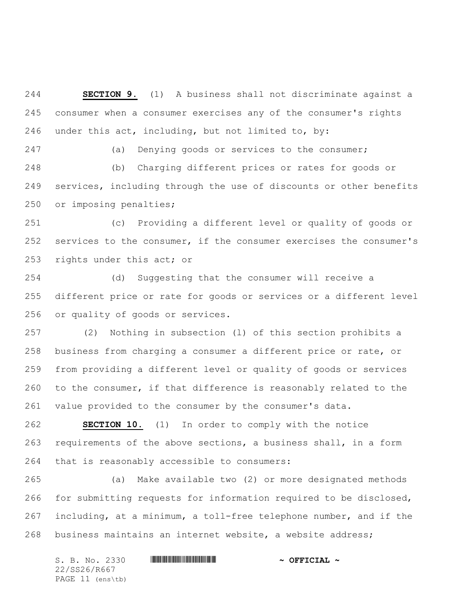**SECTION 9.** (1) A business shall not discriminate against a consumer when a consumer exercises any of the consumer's rights under this act, including, but not limited to, by:

(a) Denying goods or services to the consumer;

 (b) Charging different prices or rates for goods or services, including through the use of discounts or other benefits or imposing penalties;

 (c) Providing a different level or quality of goods or services to the consumer, if the consumer exercises the consumer's rights under this act; or

 (d) Suggesting that the consumer will receive a different price or rate for goods or services or a different level or quality of goods or services.

 (2) Nothing in subsection (l) of this section prohibits a business from charging a consumer a different price or rate, or from providing a different level or quality of goods or services to the consumer, if that difference is reasonably related to the value provided to the consumer by the consumer's data.

 **SECTION 10.** (1) In order to comply with the notice requirements of the above sections, a business shall, in a form that is reasonably accessible to consumers:

 (a) Make available two (2) or more designated methods for submitting requests for information required to be disclosed, including, at a minimum, a toll-free telephone number, and if the business maintains an internet website, a website address;

S. B. No. 2330 \*SS26/R667\* **~ OFFICIAL ~** 22/SS26/R667 PAGE 11 (ens\tb)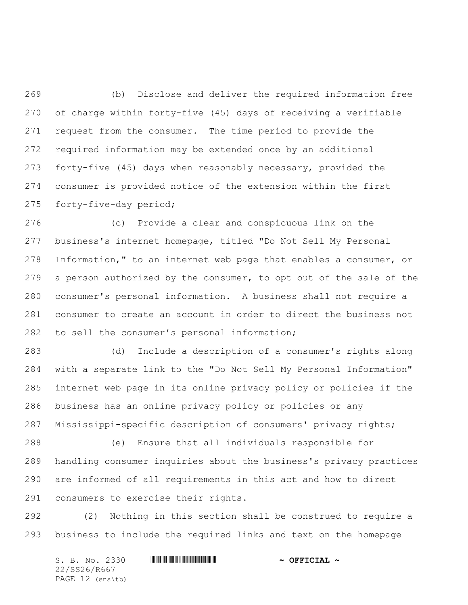(b) Disclose and deliver the required information free of charge within forty-five (45) days of receiving a verifiable request from the consumer. The time period to provide the required information may be extended once by an additional forty-five (45) days when reasonably necessary, provided the consumer is provided notice of the extension within the first forty-five-day period;

 (c) Provide a clear and conspicuous link on the business's internet homepage, titled "Do Not Sell My Personal Information," to an internet web page that enables a consumer, or a person authorized by the consumer, to opt out of the sale of the consumer's personal information. A business shall not require a consumer to create an account in order to direct the business not to sell the consumer's personal information;

 (d) Include a description of a consumer's rights along with a separate link to the "Do Not Sell My Personal Information" internet web page in its online privacy policy or policies if the business has an online privacy policy or policies or any Mississippi-specific description of consumers' privacy rights;

 (e) Ensure that all individuals responsible for handling consumer inquiries about the business's privacy practices are informed of all requirements in this act and how to direct consumers to exercise their rights.

 (2) Nothing in this section shall be construed to require a business to include the required links and text on the homepage

S. B. No. 2330 \*SS26/R667\* **~ OFFICIAL ~** 22/SS26/R667 PAGE 12 (ens\tb)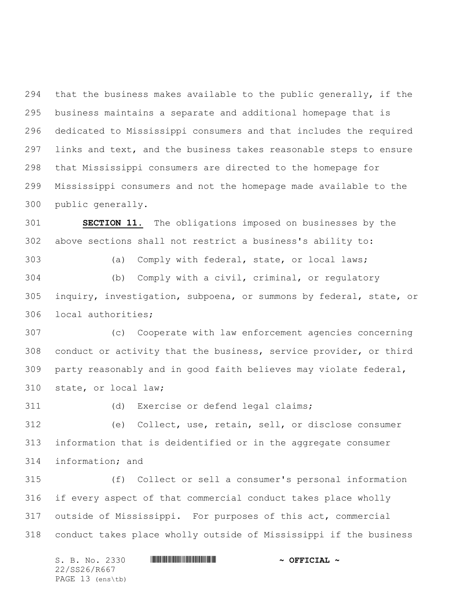that the business makes available to the public generally, if the business maintains a separate and additional homepage that is dedicated to Mississippi consumers and that includes the required links and text, and the business takes reasonable steps to ensure that Mississippi consumers are directed to the homepage for Mississippi consumers and not the homepage made available to the public generally.

 **SECTION 11.** The obligations imposed on businesses by the above sections shall not restrict a business's ability to:

(a) Comply with federal, state, or local laws;

 (b) Comply with a civil, criminal, or regulatory inquiry, investigation, subpoena, or summons by federal, state, or local authorities;

 (c) Cooperate with law enforcement agencies concerning conduct or activity that the business, service provider, or third party reasonably and in good faith believes may violate federal, state, or local law;

(d) Exercise or defend legal claims;

 (e) Collect, use, retain, sell, or disclose consumer information that is deidentified or in the aggregate consumer information; and

 (f) Collect or sell a consumer's personal information if every aspect of that commercial conduct takes place wholly outside of Mississippi. For purposes of this act, commercial conduct takes place wholly outside of Mississippi if the business

S. B. No. 2330 **\*\*\* AND \*\*\* THE \*\*\* THE \*\*\* ASSECTAL ~\*\*** 22/SS26/R667 PAGE 13 (ens\tb)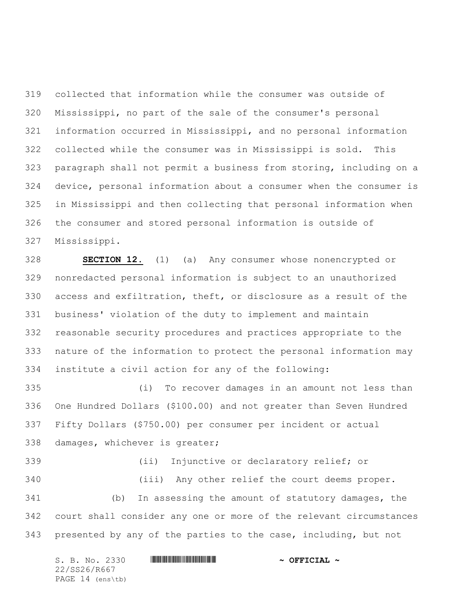collected that information while the consumer was outside of Mississippi, no part of the sale of the consumer's personal information occurred in Mississippi, and no personal information collected while the consumer was in Mississippi is sold. This paragraph shall not permit a business from storing, including on a device, personal information about a consumer when the consumer is in Mississippi and then collecting that personal information when the consumer and stored personal information is outside of Mississippi.

 **SECTION 12.** (1) (a) Any consumer whose nonencrypted or nonredacted personal information is subject to an unauthorized access and exfiltration, theft, or disclosure as a result of the business' violation of the duty to implement and maintain reasonable security procedures and practices appropriate to the nature of the information to protect the personal information may institute a civil action for any of the following:

 (i) To recover damages in an amount not less than One Hundred Dollars (\$100.00) and not greater than Seven Hundred Fifty Dollars (\$750.00) per consumer per incident or actual damages, whichever is greater;

 (ii) Injunctive or declaratory relief; or (iii) Any other relief the court deems proper. (b) In assessing the amount of statutory damages, the court shall consider any one or more of the relevant circumstances presented by any of the parties to the case, including, but not

S. B. No. 2330 \*SS26/R667\* **~ OFFICIAL ~** 22/SS26/R667 PAGE 14 (ens\tb)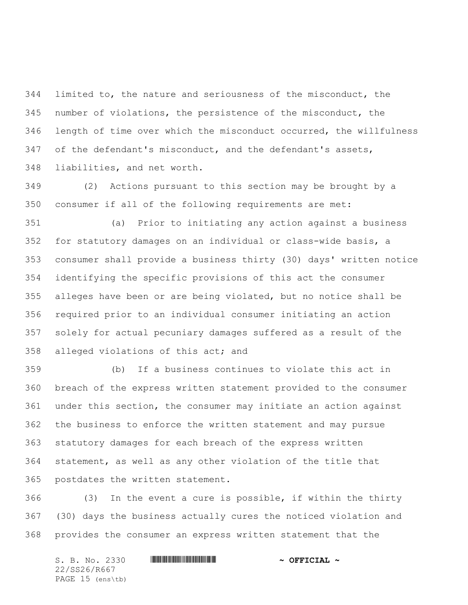limited to, the nature and seriousness of the misconduct, the number of violations, the persistence of the misconduct, the length of time over which the misconduct occurred, the willfulness of the defendant's misconduct, and the defendant's assets, liabilities, and net worth.

 (2) Actions pursuant to this section may be brought by a consumer if all of the following requirements are met:

 (a) Prior to initiating any action against a business for statutory damages on an individual or class-wide basis, a consumer shall provide a business thirty (30) days' written notice identifying the specific provisions of this act the consumer alleges have been or are being violated, but no notice shall be required prior to an individual consumer initiating an action solely for actual pecuniary damages suffered as a result of the alleged violations of this act; and

 (b) If a business continues to violate this act in breach of the express written statement provided to the consumer under this section, the consumer may initiate an action against the business to enforce the written statement and may pursue statutory damages for each breach of the express written statement, as well as any other violation of the title that postdates the written statement.

 (3) In the event a cure is possible, if within the thirty (30) days the business actually cures the noticed violation and provides the consumer an express written statement that the

S. B. No. 2330 \*SS26/R667\* **~ OFFICIAL ~** 22/SS26/R667 PAGE 15 (ens\tb)